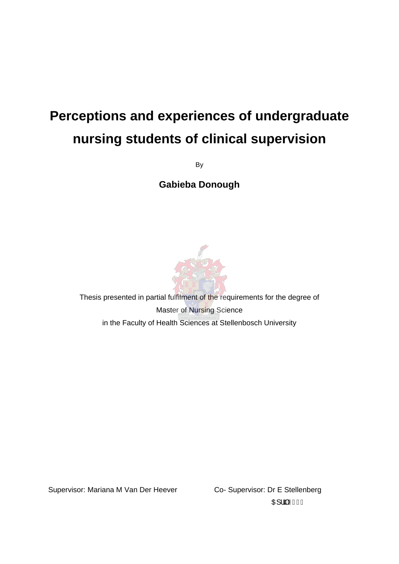## **Perceptions and experiences of undergraduate nursing students of clinical supervision**

By

**Gabieba Donough** 



Thesis presented in partial fulfilment of the requirements for the degree of Master of Nursing Science in the Faculty of Health Sciences at Stellenbosch University

Supervisor: Mariana M Van Der Heever Co- Supervisor: Dr E Stellenberg

**OH: JÄKGEFI**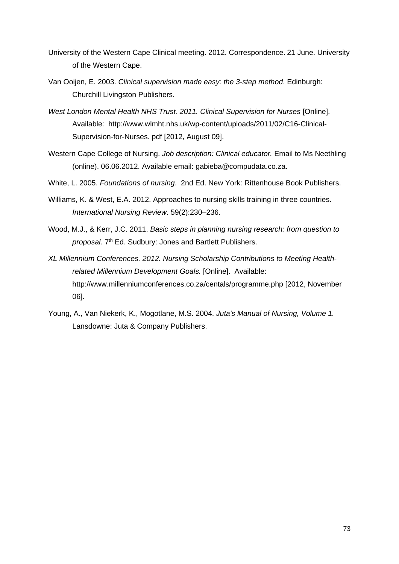- University of the Western Cape Clinical meeting. 2012. Correspondence. 21 June. University of the Western Cape.
- Van Ooijen, E. 2003. *Clinical supervision made easy: the 3-step method*. Edinburgh: Churchill Livingston Publishers.
- *West London Mental Health NHS Trust. 2011. Clinical Supervision for Nurses* [Online]. Available: http://www.wlmht.nhs.uk/wp-content/uploads/2011/02/C16-Clinical-Supervision-for-Nurses. pdf [2012, August 09].
- Western Cape College of Nursing. *Job description: Clinical educator.* Email to Ms Neethling (online). 06.06.2012. Available email: gabieba@compudata.co.za.
- White, L. 2005. *Foundations of nursing*. 2nd Ed. New York: Rittenhouse Book Publishers.
- Williams, K. & West, E.A. 2012. Approaches to nursing skills training in three countries. *International Nursing Review*. 59(2):230–236.
- Wood, M.J., & Kerr, J.C. 2011. *Basic steps in planning nursing research: from question to proposal*. 7th Ed. Sudbury: Jones and Bartlett Publishers.
- *XL Millennium Conferences. 2012. Nursing Scholarship Contributions to Meeting Healthrelated Millennium Development Goals.* [Online]. Available: http://www.millenniumconferences.co.za/centals/programme.php [2012, November 06].
- Young, A., Van Niekerk, K., Mogotlane, M.S. 2004. *Juta's Manual of Nursing, Volume 1.* Lansdowne: Juta & Company Publishers.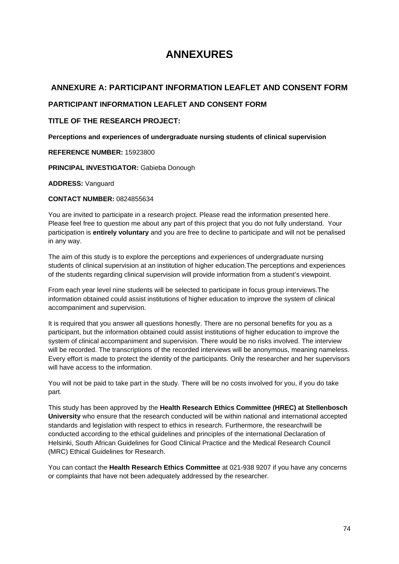# **ANNEXURES**

# **ANNEXURE A: PARTICIPANT INFORMATION LEAFLET AND CONSENT FORM**

### **PARTICIPANT INFORMATION LEAFLET AND CONSENT FORM**

### **TITLE OF THE RESEARCH PROJECT:**

**Perceptions and experiences of undergraduate nursing students of clinical supervision**

#### **REFERENCE NUMBER:** 15923800

**PRINCIPAL INVESTIGATOR:** Gabieba Donough

#### **ADDRESS:** Vanguard

### **CONTACT NUMBER:** 0824855634

You are invited to participate in a research project. Please read the information presented here. Please feel free to question me about any part of this project that you do not fully understand. Your participation is **entirely voluntary** and you are free to decline to participate and will not be penalised in any way.

The aim of this study is to explore the perceptions and experiences of undergraduate nursing students of clinical supervision at an institution of higher education.The perceptions and experiences of the students regarding clinical supervision will provide information from a student's viewpoint.

From each year level nine students will be selected to participate in focus group interviews.The information obtained could assist institutions of higher education to improve the system of clinical accompaniment and supervision.

It is required that you answer all questions honestly. There are no personal benefits for you as a participant, but the information obtained could assist institutions of higher education to improve the system of clinical accompaniment and supervision. There would be no risks involved. The interview will be recorded. The transcriptions of the recorded interviews will be anonymous, meaning nameless. Every effort is made to protect the identity of the participants. Only the researcher and her supervisors will have access to the information.

You will not be paid to take part in the study. There will be no costs involved for you, if you do take part.

This study has been approved by the **Health Research Ethics Committee (HREC) at Stellenbosch University** who ensure that the research conducted will be within national and international accepted standards and legislation with respect to ethics in research. Furthermore, the researchwill be conducted according to the ethical guidelines and principles of the international Declaration of Helsinki, South African Guidelines for Good Clinical Practice and the Medical Research Council (MRC) Ethical Guidelines for Research.

You can contact the **Health Research Ethics Committee** at 021-938 9207 if you have any concerns or complaints that have not been adequately addressed by the researcher.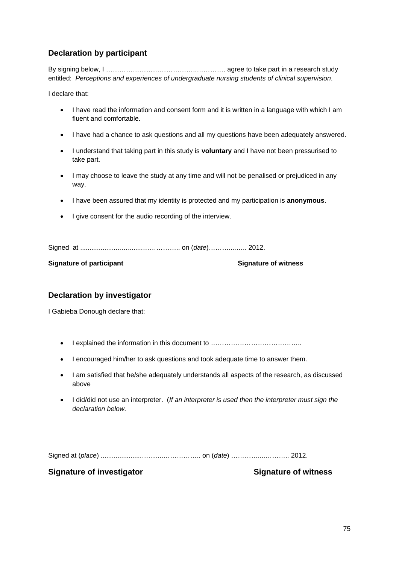# **Declaration by participant**

By signing below, I ………………………………………………… agree to take part in a research study entitled: *Perceptions and experiences of undergraduate nursing students of clinical supervision*.

I declare that:

- I have read the information and consent form and it is written in a language with which I am fluent and comfortable.
- I have had a chance to ask questions and all my questions have been adequately answered.
- I understand that taking part in this study is **voluntary** and I have not been pressurised to take part.
- I may choose to leave the study at any time and will not be penalised or prejudiced in any way.
- I have been assured that my identity is protected and my participation is **anonymous**.
- I give consent for the audio recording of the interview.

Signed at ......................…........…………….. on (*date*)………....….. 2012.

**Signature of participant Signature of witness** 

## **Declaration by investigator**

I Gabieba Donough declare that:

- I explained the information in this document to ………………………………………………………………………………
- I encouraged him/her to ask questions and took adequate time to answer them.
- I am satisfied that he/she adequately understands all aspects of the research, as discussed above
- I did/did not use an interpreter. (*If an interpreter is used then the interpreter must sign the declaration below.*

Signed at (*place*) ......................…........…………….. on (*date*) …………....……….. 2012.

**Signature of investigator Signature of witness**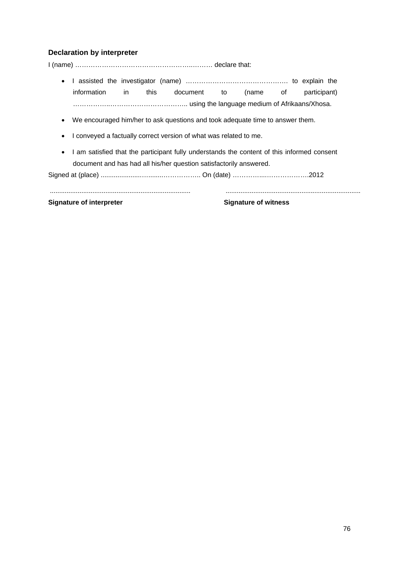### **Declaration by interpreter**

I (name) ……………………………………………..……… declare that:

- I assisted the investigator (name) ………………………………………. to explain the information in this document to (name of participant) ……………..…………………………….. using the language medium of Afrikaans/Xhosa.
- We encouraged him/her to ask questions and took adequate time to answer them.
- I conveyed a factually correct version of what was related to me.
- I am satisfied that the participant fully understands the content of this informed consent document and has had all his/her question satisfactorily answered.

............................................................................ .........................................................................

Signed at (place) ......................…........…………….. On (date) …………....……………….2012

**Signature of interpreter Signature of witness**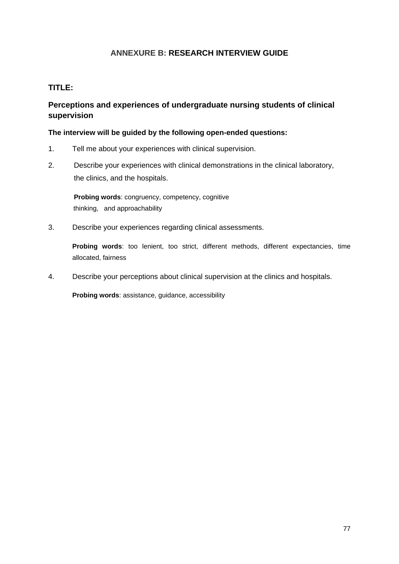# **ANNEXURE B: RESEARCH INTERVIEW GUIDE**

### **TITLE:**

# **Perceptions and experiences of undergraduate nursing students of clinical supervision**

### **The interview will be guided by the following open-ended questions:**

- 1. Tell me about your experiences with clinical supervision.
- 2. Describe your experiences with clinical demonstrations in the clinical laboratory, the clinics, and the hospitals.

 **Probing words**: congruency, competency, cognitive thinking, and approachability

3. Describe your experiences regarding clinical assessments.

**Probing words**: too lenient, too strict, different methods, different expectancies, time allocated, fairness

4. Describe your perceptions about clinical supervision at the clinics and hospitals.

**Probing words**: assistance, guidance, accessibility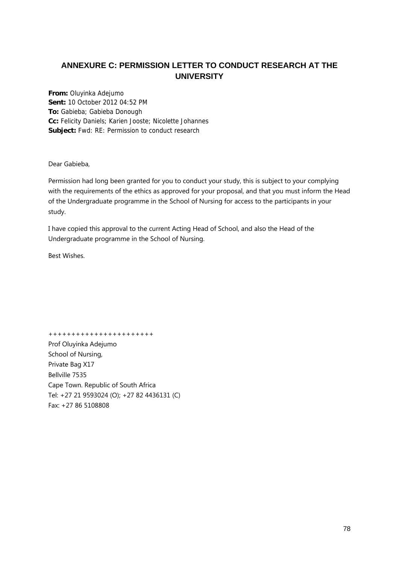# **ANNEXURE C: PERMISSION LETTER TO CONDUCT RESEARCH AT THE UNIVERSITY**

**From:** Oluyinka Adejumo **Sent:** 10 October 2012 04:52 PM **To:** Gabieba; Gabieba Donough **Cc:** Felicity Daniels; Karien Jooste; Nicolette Johannes **Subject:** Fwd: RE: Permission to conduct research

Dear Gabieba,

Permission had long been granted for you to conduct your study, this is subject to your complying with the requirements of the ethics as approved for your proposal, and that you must inform the Head of the Undergraduate programme in the School of Nursing for access to the participants in your study.

I have copied this approval to the current Acting Head of School, and also the Head of the Undergraduate programme in the School of Nursing.

Best Wishes.

+++++++++++++++++++++++

Prof Oluyinka Adejumo School of Nursing, Private Bag X17 Bellville 7535 Cape Town. Republic of South Africa Tel: +27 21 9593024 (O); +27 82 4436131 (C) Fax: +27 86 5108808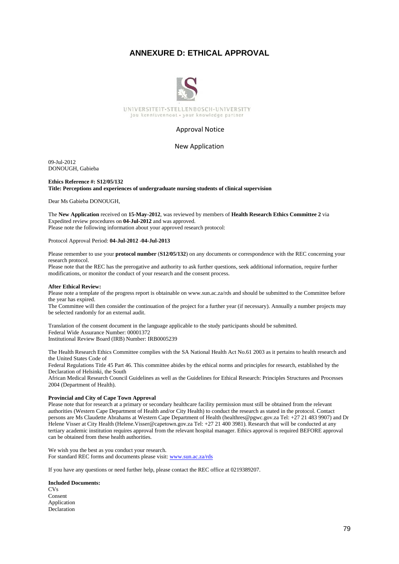### **ANNEXURE D: ETHICAL APPROVAL**



#### Approval Notice

#### New Application

09-Jul-2012 DONOUGH, Gabieba

#### **Ethics Reference #: S12/05/132 Title: Perceptions and experiences of undergraduate nursing students of clinical supervision**

Dear Ms Gabieba DONOUGH,

The **New Application** received on **15-May-2012**, was reviewed by members of **Health Research Ethics Committee 2** via Expedited review procedures on **04-Jul-2012** and was approved. Please note the following information about your approved research protocol:

#### Protocol Approval Period: **04-Jul-2012** -**04-Jul-2013**

Please remember to use your **protocol number** (**S12/05/132**) on any documents or correspondence with the REC concerning your research protocol.

Please note that the REC has the prerogative and authority to ask further questions, seek additional information, require further modifications, or monitor the conduct of your research and the consent process.

#### **After Ethical Review:**

Please note a template of the progress report is obtainable on www.sun.ac.za/rds and should be submitted to the Committee before the year has expired.

The Committee will then consider the continuation of the project for a further year (if necessary). Annually a number projects may be selected randomly for an external audit.

Translation of the consent document in the language applicable to the study participants should be submitted. Federal Wide Assurance Number: 00001372 Institutional Review Board (IRB) Number: IRB0005239

The Health Research Ethics Committee complies with the SA National Health Act No.61 2003 as it pertains to health research and the United States Code of

Federal Regulations Title 45 Part 46. This committee abides by the ethical norms and principles for research, established by the Declaration of Helsinki, the South

African Medical Research Council Guidelines as well as the Guidelines for Ethical Research: Principles Structures and Processes 2004 (Department of Health).

#### **Provincial and City of Cape Town Approval**

Please note that for research at a primary or secondary healthcare facility permission must still be obtained from the relevant authorities (Western Cape Department of Health and/or City Health) to conduct the research as stated in the protocol. Contact persons are Ms Claudette Abrahams at Western Cape Department of Health (healthres@pgwc.gov.za Tel: +27 21 483 9907) and Dr Helene Visser at City Health (Helene.Visser@capetown.gov.za Tel: +27 21 400 3981). Research that will be conducted at any tertiary academic institution requires approval from the relevant hospital manager. Ethics approval is required BEFORE approval can be obtained from these health authorities.

We wish you the best as you conduct your research. For standard REC forms and documents please visit: www.sun.ac.za/rds

If you have any questions or need further help, please contact the REC office at 0219389207.

#### **Included Documents:**   $CVs$ Consent Application Declaration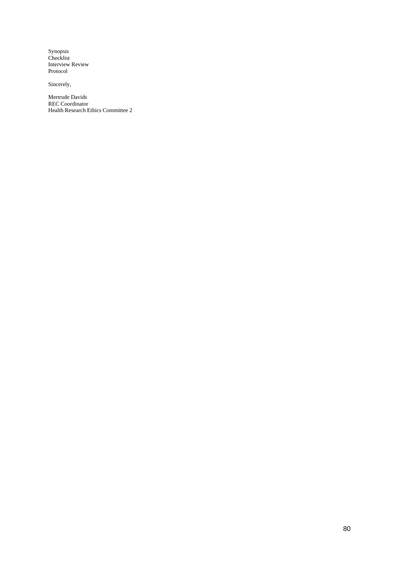Synopsis Checklist Interview Review Protocol

Sincerely,

Mertrude Davids REC Coordinator Health Research Ethics Committee 2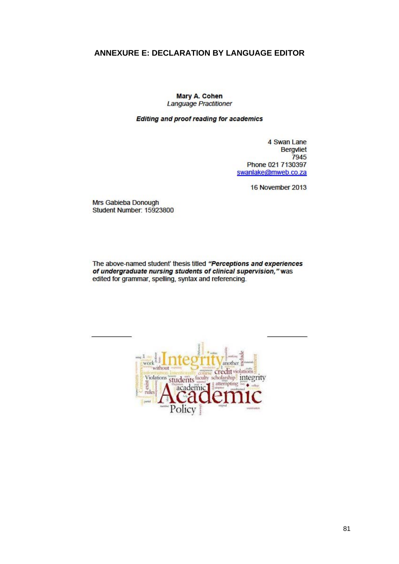# **ANNEXURE E: DECLARATION BY LANGUAGE EDITOR**

Mary A. Cohen Language Practitioner

Editing and proof reading for academics

4 Swan Lane **Bergvliet** 7945 Phone 021 7130397 swanlake@mweb.co.za

16 November 2013

Mrs Gabieba Donough Student Number: 15923800

The above-named student' thesis titled "Perceptions and experiences of undergraduate nursing students of clinical supervision," was edited for grammar, spelling, syntax and referencing.